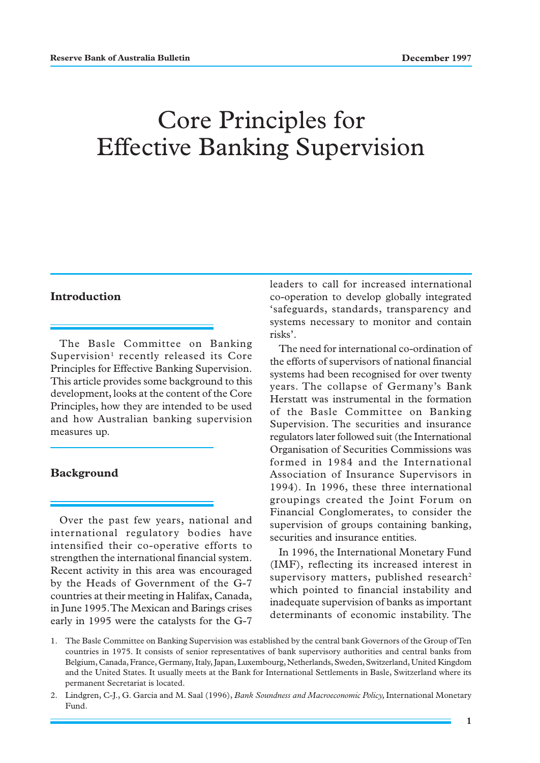# Core Principles for Effective Banking Supervision

# **Introduction**

The Basle Committee on Banking Supervision<sup>1</sup> recently released its Core Principles for Effective Banking Supervision. This article provides some background to this development, looks at the content of the Core Principles, how they are intended to be used and how Australian banking supervision measures up.

#### **Background**

Over the past few years, national and international regulatory bodies have intensified their co-operative efforts to strengthen the international financial system. Recent activity in this area was encouraged by the Heads of Government of the G-7 countries at their meeting in Halifax, Canada, in June 1995. The Mexican and Barings crises early in 1995 were the catalysts for the G-7

leaders to call for increased international co-operation to develop globally integrated 'safeguards, standards, transparency and systems necessary to monitor and contain risks'.

The need for international co-ordination of the efforts of supervisors of national financial systems had been recognised for over twenty years. The collapse of Germany's Bank Herstatt was instrumental in the formation of the Basle Committee on Banking Supervision. The securities and insurance regulators later followed suit (the International Organisation of Securities Commissions was formed in 1984 and the International Association of Insurance Supervisors in 1994). In 1996, these three international groupings created the Joint Forum on Financial Conglomerates, to consider the supervision of groups containing banking, securities and insurance entities.

In 1996, the International Monetary Fund (IMF), reflecting its increased interest in supervisory matters, published research<sup>2</sup> which pointed to financial instability and inadequate supervision of banks as important determinants of economic instability. The

<sup>1.</sup> The Basle Committee on Banking Supervision was established by the central bank Governors of the Group of Ten countries in 1975. It consists of senior representatives of bank supervisory authorities and central banks from Belgium, Canada, France, Germany, Italy, Japan, Luxembourg, Netherlands, Sweden, Switzerland, United Kingdom and the United States. It usually meets at the Bank for International Settlements in Basle, Switzerland where its permanent Secretariat is located.

<sup>2.</sup> Lindgren, C-J., G. Garcia and M. Saal (1996), *Bank Soundness and Macroeconomic Policy,* International Monetary Fund.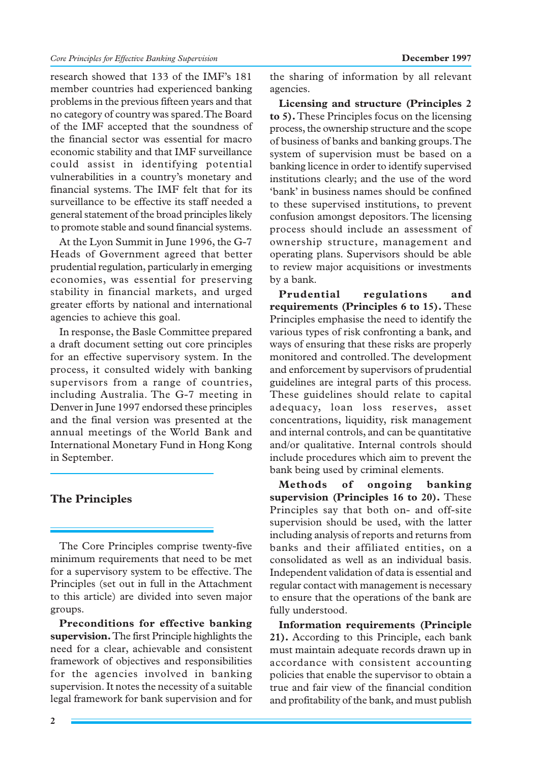research showed that 133 of the IMF's 181 member countries had experienced banking problems in the previous fifteen years and that no category of country was spared. The Board of the IMF accepted that the soundness of the financial sector was essential for macro economic stability and that IMF surveillance could assist in identifying potential vulnerabilities in a country's monetary and financial systems. The IMF felt that for its surveillance to be effective its staff needed a general statement of the broad principles likely to promote stable and sound financial systems.

At the Lyon Summit in June 1996, the G-7 Heads of Government agreed that better prudential regulation, particularly in emerging economies, was essential for preserving stability in financial markets, and urged greater efforts by national and international agencies to achieve this goal.

In response, the Basle Committee prepared a draft document setting out core principles for an effective supervisory system. In the process, it consulted widely with banking supervisors from a range of countries, including Australia. The G-7 meeting in Denver in June 1997 endorsed these principles and the final version was presented at the annual meetings of the World Bank and International Monetary Fund in Hong Kong in September.

# **The Principles**

The Core Principles comprise twenty-five minimum requirements that need to be met for a supervisory system to be effective. The Principles (set out in full in the Attachment to this article) are divided into seven major groups.

**Preconditions for effective banking supervision.** The first Principle highlights the need for a clear, achievable and consistent framework of objectives and responsibilities for the agencies involved in banking supervision. It notes the necessity of a suitable legal framework for bank supervision and for the sharing of information by all relevant agencies.

**Licensing and structure (Principles 2 to 5).** These Principles focus on the licensing process, the ownership structure and the scope of business of banks and banking groups. The system of supervision must be based on a banking licence in order to identify supervised institutions clearly; and the use of the word 'bank' in business names should be confined to these supervised institutions, to prevent confusion amongst depositors. The licensing process should include an assessment of ownership structure, management and operating plans. Supervisors should be able to review major acquisitions or investments by a bank.

**Prudential regulations and requirements (Principles 6 to 15).** These Principles emphasise the need to identify the various types of risk confronting a bank, and ways of ensuring that these risks are properly monitored and controlled. The development and enforcement by supervisors of prudential guidelines are integral parts of this process. These guidelines should relate to capital adequacy, loan loss reserves, asset concentrations, liquidity, risk management and internal controls, and can be quantitative and/or qualitative. Internal controls should include procedures which aim to prevent the bank being used by criminal elements.

**Methods of ongoing banking supervision (Principles 16 to 20).** These Principles say that both on- and off-site supervision should be used, with the latter including analysis of reports and returns from banks and their affiliated entities, on a consolidated as well as an individual basis. Independent validation of data is essential and regular contact with management is necessary to ensure that the operations of the bank are fully understood.

**Information requirements (Principle 21).** According to this Principle, each bank must maintain adequate records drawn up in accordance with consistent accounting policies that enable the supervisor to obtain a true and fair view of the financial condition and profitability of the bank, and must publish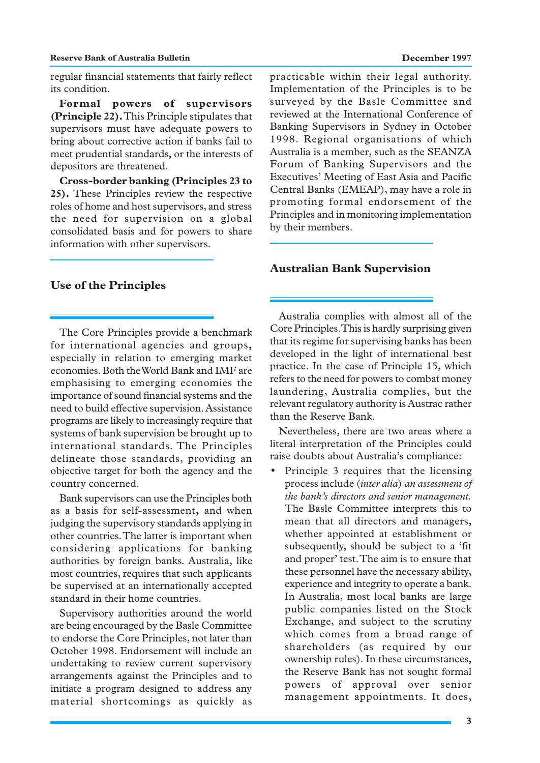#### **Reserve Bank of Australia Bulletin December 1997**

regular financial statements that fairly reflect its condition.

**Formal powers of supervisors (Principle 22).** This Principle stipulates that supervisors must have adequate powers to bring about corrective action if banks fail to meet prudential standards, or the interests of depositors are threatened.

**Cross-border banking (Principles 23 to 25).** These Principles review the respective roles of home and host supervisors, and stress the need for supervision on a global consolidated basis and for powers to share information with other supervisors.

**Use of the Principles**

The Core Principles provide a benchmark for international agencies and groups**,** especially in relation to emerging market economies. Both the World Bank and IMF are emphasising to emerging economies the importance of sound financial systems and the need to build effective supervision. Assistance programs are likely to increasingly require that systems of bank supervision be brought up to international standards. The Principles delineate those standards, providing an objective target for both the agency and the country concerned.

Bank supervisors can use the Principles both as a basis for self-assessment**,** and when judging the supervisory standards applying in other countries. The latter is important when considering applications for banking authorities by foreign banks. Australia, like most countries, requires that such applicants be supervised at an internationally accepted standard in their home countries.

Supervisory authorities around the world are being encouraged by the Basle Committee to endorse the Core Principles, not later than October 1998. Endorsement will include an undertaking to review current supervisory arrangements against the Principles and to initiate a program designed to address any material shortcomings as quickly as

practicable within their legal authority. Implementation of the Principles is to be surveyed by the Basle Committee and reviewed at the International Conference of Banking Supervisors in Sydney in October 1998. Regional organisations of which Australia is a member, such as the SEANZA Forum of Banking Supervisors and the Executives' Meeting of East Asia and Pacific Central Banks (EMEAP), may have a role in promoting formal endorsement of the Principles and in monitoring implementation by their members.

#### **Australian Bank Supervision**

Australia complies with almost all of the Core Principles. This is hardly surprising given that its regime for supervising banks has been developed in the light of international best practice. In the case of Principle 15, which refers to the need for powers to combat money laundering, Australia complies, but the relevant regulatory authority is Austrac rather than the Reserve Bank.

Nevertheless, there are two areas where a literal interpretation of the Principles could raise doubts about Australia's compliance:

• Principle 3 requires that the licensing process include (*inter alia*) *an assessment of the bank's directors and senior management.* The Basle Committee interprets this to mean that all directors and managers, whether appointed at establishment or subsequently, should be subject to a 'fit and proper' test. The aim is to ensure that these personnel have the necessary ability, experience and integrity to operate a bank. In Australia, most local banks are large public companies listed on the Stock Exchange, and subject to the scrutiny which comes from a broad range of shareholders (as required by our ownership rules). In these circumstances, the Reserve Bank has not sought formal powers of approval over senior management appointments. It does,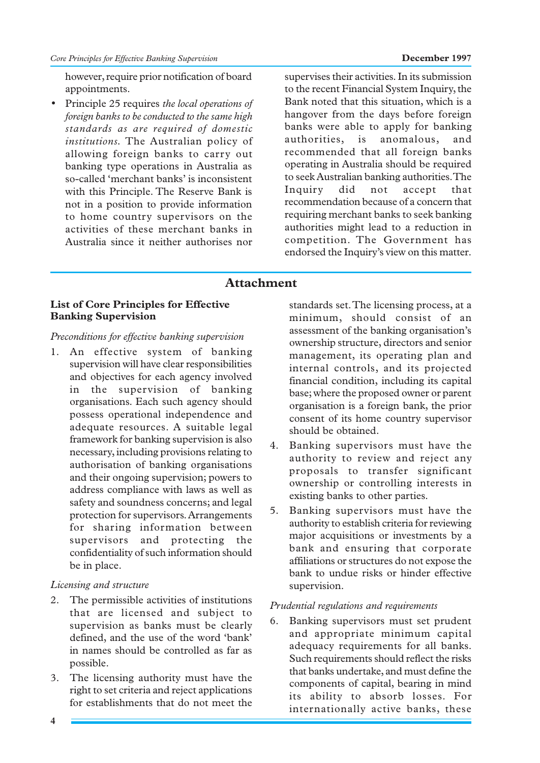however, require prior notification of board appointments.

• Principle 25 requires *the local operations of foreign banks to be conducted to the same high standards as are required of domestic institutions.* The Australian policy of allowing foreign banks to carry out banking type operations in Australia as so-called 'merchant banks' is inconsistent with this Principle. The Reserve Bank is not in a position to provide information to home country supervisors on the activities of these merchant banks in Australia since it neither authorises nor

supervises their activities. In its submission to the recent Financial System Inquiry, the Bank noted that this situation, which is a hangover from the days before foreign banks were able to apply for banking authorities, is anomalous, and recommended that all foreign banks operating in Australia should be required to seek Australian banking authorities. The Inquiry did not accept that recommendation because of a concern that requiring merchant banks to seek banking authorities might lead to a reduction in competition. The Government has endorsed the Inquiry's view on this matter.

# **Attachment**

# **List of Core Principles for Effective Banking Supervision**

# *Preconditions for effective banking supervision*

1. An effective system of banking supervision will have clear responsibilities and objectives for each agency involved in the supervision of banking organisations. Each such agency should possess operational independence and adequate resources. A suitable legal framework for banking supervision is also necessary, including provisions relating to authorisation of banking organisations and their ongoing supervision; powers to address compliance with laws as well as safety and soundness concerns; and legal protection for supervisors. Arrangements for sharing information between supervisors and protecting the confidentiality of such information should be in place.

# *Licensing and structure*

- 2. The permissible activities of institutions that are licensed and subject to supervision as banks must be clearly defined, and the use of the word 'bank' in names should be controlled as far as possible.
- 3. The licensing authority must have the right to set criteria and reject applications for establishments that do not meet the

standards set. The licensing process, at a minimum, should consist of an assessment of the banking organisation's ownership structure, directors and senior management, its operating plan and internal controls, and its projected financial condition, including its capital base; where the proposed owner or parent organisation is a foreign bank, the prior consent of its home country supervisor should be obtained.

- 4. Banking supervisors must have the authority to review and reject any proposals to transfer significant ownership or controlling interests in existing banks to other parties.
- 5. Banking supervisors must have the authority to establish criteria for reviewing major acquisitions or investments by a bank and ensuring that corporate affiliations or structures do not expose the bank to undue risks or hinder effective supervision.

#### *Prudential regulations and requirements*

6. Banking supervisors must set prudent and appropriate minimum capital adequacy requirements for all banks. Such requirements should reflect the risks that banks undertake, and must define the components of capital, bearing in mind its ability to absorb losses. For internationally active banks, these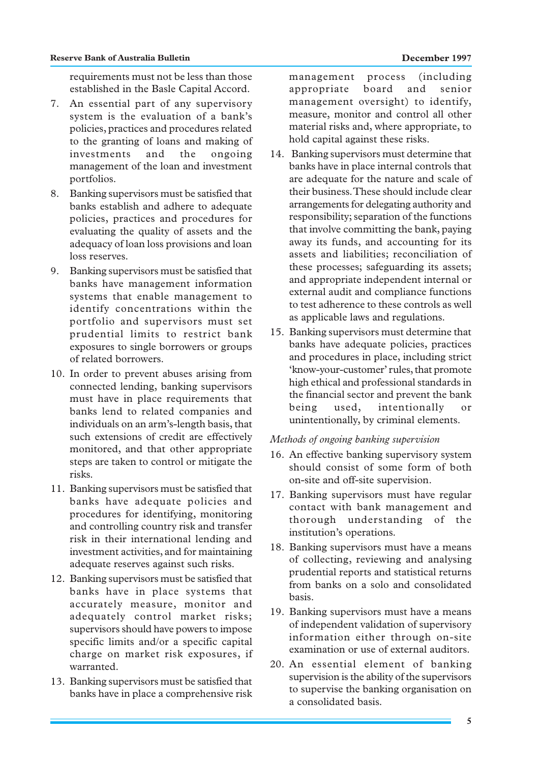requirements must not be less than those established in the Basle Capital Accord.

- 7. An essential part of any supervisory system is the evaluation of a bank's policies, practices and procedures related to the granting of loans and making of investments and the ongoing management of the loan and investment portfolios.
- 8. Banking supervisors must be satisfied that banks establish and adhere to adequate policies, practices and procedures for evaluating the quality of assets and the adequacy of loan loss provisions and loan loss reserves.
- 9. Banking supervisors must be satisfied that banks have management information systems that enable management to identify concentrations within the portfolio and supervisors must set prudential limits to restrict bank exposures to single borrowers or groups of related borrowers.
- 10. In order to prevent abuses arising from connected lending, banking supervisors must have in place requirements that banks lend to related companies and individuals on an arm's-length basis, that such extensions of credit are effectively monitored, and that other appropriate steps are taken to control or mitigate the risks.
- 11. Banking supervisors must be satisfied that banks have adequate policies and procedures for identifying, monitoring and controlling country risk and transfer risk in their international lending and investment activities, and for maintaining adequate reserves against such risks.
- 12. Banking supervisors must be satisfied that banks have in place systems that accurately measure, monitor and adequately control market risks; supervisors should have powers to impose specific limits and/or a specific capital charge on market risk exposures, if warranted.
- 13. Banking supervisors must be satisfied that banks have in place a comprehensive risk

management process (including appropriate board and senior management oversight) to identify, measure, monitor and control all other material risks and, where appropriate, to hold capital against these risks.

- 14. Banking supervisors must determine that banks have in place internal controls that are adequate for the nature and scale of their business. These should include clear arrangements for delegating authority and responsibility; separation of the functions that involve committing the bank, paying away its funds, and accounting for its assets and liabilities; reconciliation of these processes; safeguarding its assets; and appropriate independent internal or external audit and compliance functions to test adherence to these controls as well as applicable laws and regulations.
- 15. Banking supervisors must determine that banks have adequate policies, practices and procedures in place, including strict 'know-your-customer' rules, that promote high ethical and professional standards in the financial sector and prevent the bank being used, intentionally or unintentionally, by criminal elements.

# *Methods of ongoing banking supervision*

- 16. An effective banking supervisory system should consist of some form of both on-site and off-site supervision.
- 17. Banking supervisors must have regular contact with bank management and thorough understanding of the institution's operations.
- 18. Banking supervisors must have a means of collecting, reviewing and analysing prudential reports and statistical returns from banks on a solo and consolidated basis.
- 19. Banking supervisors must have a means of independent validation of supervisory information either through on-site examination or use of external auditors.
- 20. An essential element of banking supervision is the ability of the supervisors to supervise the banking organisation on a consolidated basis.